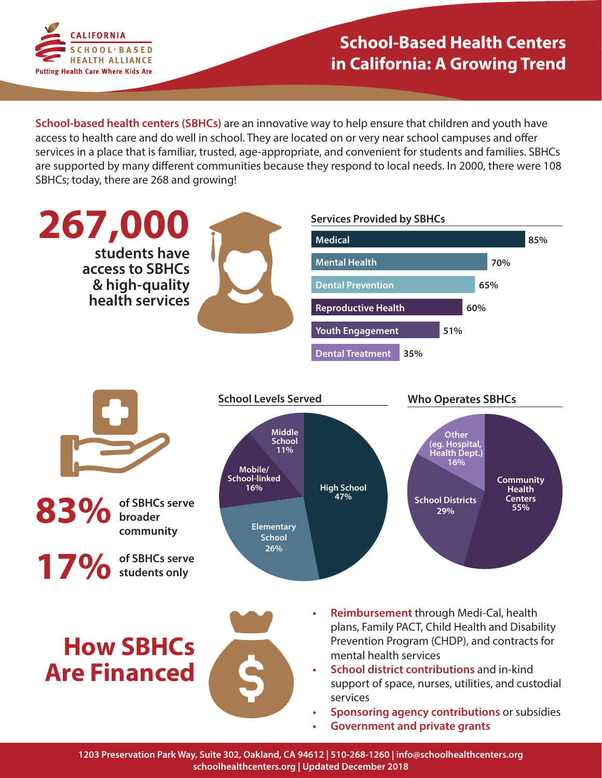

**School-based health centers (SBHCs)** are an innovative way to help ensure that children and youth have access to health care and do well in school. They are located on or very near school campuses and offer services in a place that is familiar, trusted, age-appropriate, and convenient for students and families. SBHCs are supported by many different communities because they respond to local needs. In 2000, there were 108 SBHCs; today, there are 268 and growing!



**1203 Preservation Park Way, Suite 302, Oakland, CA 94612 | 510-268-1260 | info@schoolhealthcenters.org schoolhealthcenters.org | Updated December 2018**